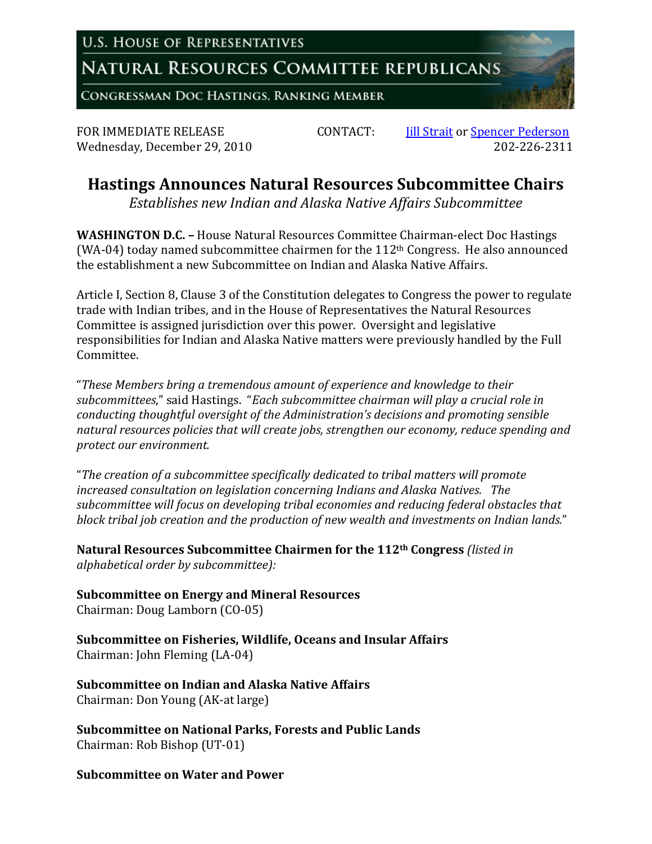**U.S. HOUSE OF REPRESENTATIVES** 

**NATURAL RESOURCES COMMITTEE REPUBLICANS** 

CONGRESSMAN DOC HASTINGS, RANKING MEMBER

FOR IMMEDIATE RELEASE *CONTACT*: **III** Strait or Spencer Pederson Wednesday, December 29, 2010 202‐226‐2311

## **Hastings Announces Natural Resources Subcommittee Chairs**

*Establishes new Indian and Alaska Native Affairs Subcommittee*

**WASHINGTON D.C. –** House Natural Resources Committee Chairman‐elect Doc Hastings (WA-04) today named subcommittee chairmen for the  $112<sup>th</sup>$  Congress. He also announced the establishment a new Subcommittee on Indian and Alaska Native Affairs.

Article I, Section 8, Clause 3 of the Constitution delegates to Congress the power to regulate trade with Indian tribes, and in the House of Representatives the Natural Resources Committee is assigned jurisdiction over this power. Oversight and legislative responsibilities for Indian and Alaska Native matters were previously handled by the Full Committee.

"*These Members bring a tremendous amount of experience and knowledge to their subcommittees*," said Hastings. "*Each subcommittee chairman will play a crucial role in conducting thoughtful oversight of the Administration's decisions and promoting sensible natural resources policies that will create jobs, strengthen our economy, reduce spending and protect our environment.*

"*The creation of a subcommittee specifically dedicated to tribal matters will promote increased consultation on legislation concerning Indians and Alaska Natives. The subcommittee will focus on developing tribal economies and reducing federal obstacles that block tribal job creation and the production of new wealth and investments on Indian lands.*"

**Natural Resources Subcommittee Chairmen for the 112th Congress** *(listed in alphabetical order by subcommittee):*

**Subcommittee on Energy and Mineral Resources** Chairman: Doug Lamborn (CO‐05)

**Subcommittee on Fisheries, Wildlife, Oceans and Insular Affairs** Chairman: John Fleming (LA‐04)

**Subcommittee on Indian and Alaska Native Affairs** Chairman: Don Young (AK‐at large)

**Subcommittee on National Parks, Forests and Public Lands** Chairman: Rob Bishop (UT‐01)

## **Subcommittee on Water and Power**